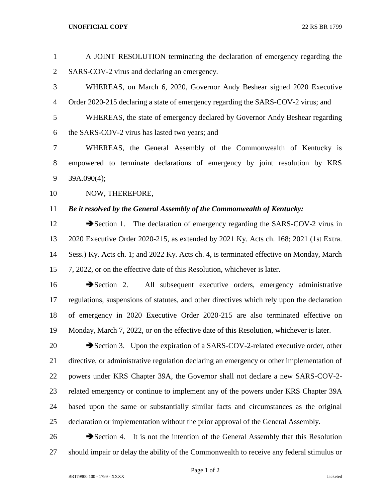## **UNOFFICIAL COPY** 22 RS BR 1799

| $\mathbf{1}$   | A JOINT RESOLUTION terminating the declaration of emergency regarding the                  |
|----------------|--------------------------------------------------------------------------------------------|
| $\overline{c}$ | SARS-COV-2 virus and declaring an emergency.                                               |
| 3              | WHEREAS, on March 6, 2020, Governor Andy Beshear signed 2020 Executive                     |
| $\overline{4}$ | Order 2020-215 declaring a state of emergency regarding the SARS-COV-2 virus; and          |
| 5              | WHEREAS, the state of emergency declared by Governor Andy Beshear regarding                |
| 6              | the SARS-COV-2 virus has lasted two years; and                                             |
| 7              | WHEREAS, the General Assembly of the Commonwealth of Kentucky is                           |
| 8              | empowered to terminate declarations of emergency by joint resolution by KRS                |
| 9              | 39A.090(4);                                                                                |
| 10             | NOW, THEREFORE,                                                                            |
| 11             | Be it resolved by the General Assembly of the Commonwealth of Kentucky:                    |
| 12             | Section 1. The declaration of emergency regarding the SARS-COV-2 virus in                  |
| 13             | 2020 Executive Order 2020-215, as extended by 2021 Ky. Acts ch. 168; 2021 (1st Extra.      |
| 14             | Sess.) Ky. Acts ch. 1; and 2022 Ky. Acts ch. 4, is terminated effective on Monday, March   |
| 15             | 7, 2022, or on the effective date of this Resolution, whichever is later.                  |
| 16             | All subsequent executive orders, emergency administrative<br>$\rightarrow$ Section 2.      |
| 17             | regulations, suspensions of statutes, and other directives which rely upon the declaration |
| 18             | of emergency in 2020 Executive Order 2020-215 are also terminated effective on             |
| 19             | Monday, March 7, 2022, or on the effective date of this Resolution, whichever is later.    |
| 20             | Section 3. Upon the expiration of a SARS-COV-2-related executive order, other              |
| 21             | directive, or administrative regulation declaring an emergency or other implementation of  |
| 22             | powers under KRS Chapter 39A, the Governor shall not declare a new SARS-COV-2-             |
| 23             | related emergency or continue to implement any of the powers under KRS Chapter 39A         |
| 24             | based upon the same or substantially similar facts and circumstances as the original       |
| 25             | declaration or implementation without the prior approval of the General Assembly.          |
| 26             | Section 4. It is not the intention of the General Assembly that this Resolution            |

BR179900.100 - 1799 - XXXX Jacketed

Page 1 of 2

should impair or delay the ability of the Commonwealth to receive any federal stimulus or